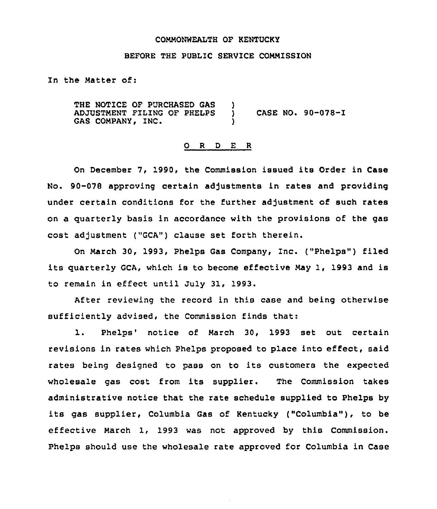#### COMMONWEALTH OF KENTUCKY

## BEFORE THE PUBLIC SERVICE COMMISSION

In the Matter of:

THE NOTICE OF PURCHASED GAS ADJUSTMENT FILING OF PHELPS GAS COMPANY, INC. ) CASE NO.  $90-078-1$ )

### 0 <sup>R</sup> <sup>D</sup> E R

On December 7, 1990, the Commission issued its Order in Case No. 90-078 approving certain adjustments in rates and providing under certain conditions for the further adjustment of such rates on a quarterly basis in accordance with the provisions of the gas cost adjustment ("GCA") clause set forth therein.

On March 30, 1993, Phelps Gas Company, Inc. ("Phelps") filed its quarterly GCA, which is to become effective May 1, 1993 and is to remain in effect until July 31, 1993.

After reviewing the record in this case and being otherwise sufficiently advised, the Commission finds that:

1. Phelps' notice of March 30, 1993 set out certain revisions in rates which Phelps proposed to place into effect, said rates being designed to pass on to its customers the expected wholesale gas cost from its supplier. The Commission takes administrative notice that the rate schedule supplied to Phelps by its gas supplier, Columbia Gas of Kentucky ("Columbia"), to be effective March 1, 1993 was not approved by this Commission. Phelps should use the wholesale rate approved for Columbia in Case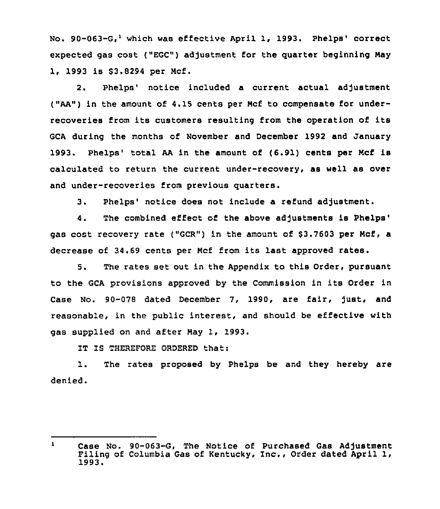No.  $90-063-G$ , which was effective April 1, 1993. Phelps' correct expected gas cost ("EGC") adjustment for the guarter beginning May 1, 1993 is \$3.8294 per Mcf.

2. Phelps' notice included a current actual adjustment ("AA") in the amount of 4.15 cents per Mcf to compensate for underrecoveries from its customers resulting from the operation of its GCA during the months of November and December 1992 and January 1993. Phelps' total AA in the amount of (6.91) cents per Mcf is calculated to return the current under-recovery, as well as over and under-recoveries from previous guarters.

3. Phelps' notice does not include a refund adjustment.

4. The combined effect of the above adjustments is Phelps' cost recovery rate ("GCR") in the amount of \$3.7603 per Mcf, a decrease of 34.69 cents per Mcf from its last approved rates.

5. The rates set out in the Appendix to this Order, pursuant to the GCA provisions approved by the Commission in its Order in Case No. 90-078 dated December 7, 1990, are fair, fust, and reasonable, in the public interest, and should be effective with gas supplied on and after May 1, 1993.

IT IS THEREFORE ORDERED that:

1. The rates proposed by Phelps be and they hereby are denied.

 $\mathbf{I}$ Case No. 90-063-G, The Notice of Purchased Gas Adjustment Filing of Columbia Gas of Kentucky, Inc., Order dated April 1,<br>1993.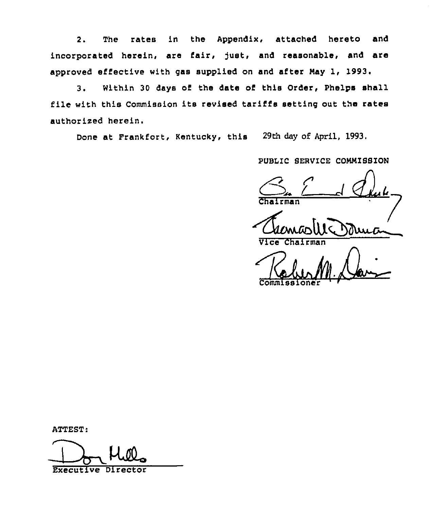2. The rates in the Appendix, attached hereto and incorporated herein, are fair, just, and reasonable, and are approved effective with gas supplied on and after May 1, 1993.

3. Within 30 days of the date of this Order, Phelps shall file with this Commission its revised tariffs setting out the rates authorised herein.

Done at Frankfort, Kentucky, this 29th day of April, 1993.

PUBLIC SERVICE COMMISSION

 $\overline{r}$ man

Vice

Commissione

ATTEST:<br>BERECULIVE DIFECTOR